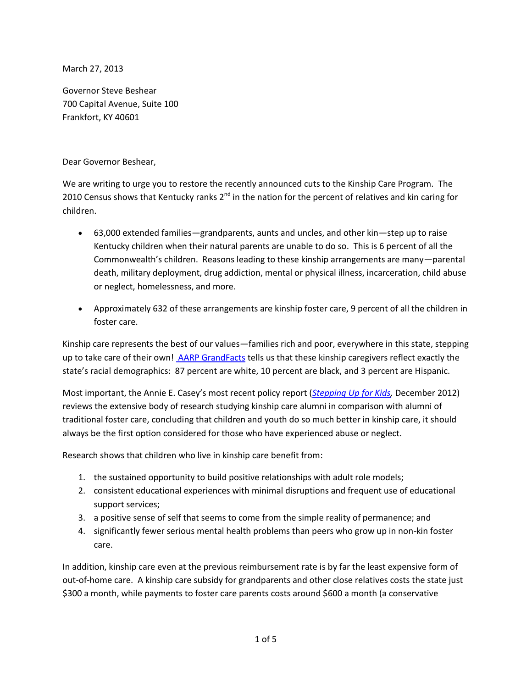March 27, 2013

Governor Steve Beshear 700 Capital Avenue, Suite 100 Frankfort, KY 40601

Dear Governor Beshear,

We are writing to urge you to restore the recently announced cuts to the Kinship Care Program. The 2010 Census shows that Kentucky ranks  $2^{nd}$  in the nation for the percent of relatives and kin caring for children.

- 63,000 extended families—grandparents, aunts and uncles, and other kin—step up to raise Kentucky children when their natural parents are unable to do so. This is 6 percent of all the Commonwealth's children. Reasons leading to these kinship arrangements are many—parental death, military deployment, drug addiction, mental or physical illness, incarceration, child abuse or neglect, homelessness, and more.
- Approximately 632 of these arrangements are kinship foster care, 9 percent of all the children in foster care.

Kinship care represents the best of our values—families rich and poor, everywhere in this state, stepping up to take care of their own! [AARP GrandFacts](http://www.aarp.org/content/dam/aarp/relationships/friends-family/grandfacts/grandfacts-kentucky.pdf) tells us that these kinship caregivers reflect exactly the state's racial demographics: 87 percent are white, 10 percent are black, and 3 percent are Hispanic.

Most important, the Annie E. Casey's most recent policy report (*[Stepping Up for Kids,](http://www.aecf.org/KnowledgeCenter/Publications.aspx?pubguid=%7b642BF3F2-9A85-4C6B-83C8-A30F5D928E4D%7d)* December 2012) reviews the extensive body of research studying kinship care alumni in comparison with alumni of traditional foster care, concluding that children and youth do so much better in kinship care, it should always be the first option considered for those who have experienced abuse or neglect.

Research shows that children who live in kinship care benefit from:

- 1. the sustained opportunity to build positive relationships with adult role models;
- 2. consistent educational experiences with minimal disruptions and frequent use of educational support services;
- 3. a positive sense of self that seems to come from the simple reality of permanence; and
- 4. significantly fewer serious mental health problems than peers who grow up in non-kin foster care.

In addition, kinship care even at the previous reimbursement rate is by far the least expensive form of out-of-home care. A kinship care subsidy for grandparents and other close relatives costs the state just \$300 a month, while payments to foster care parents costs around \$600 a month (a conservative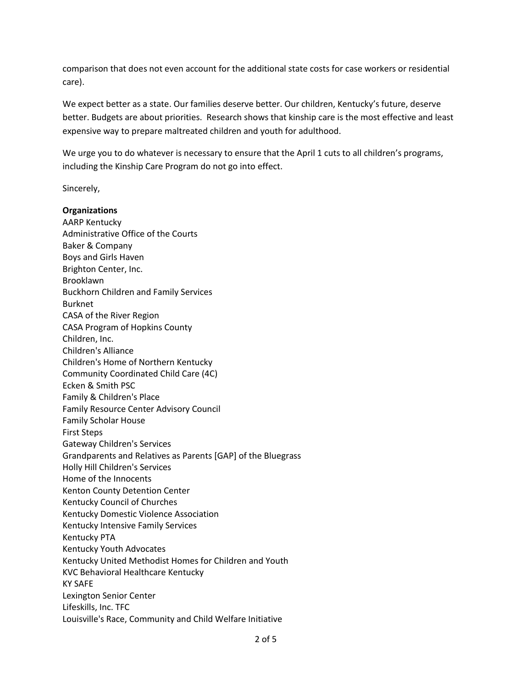comparison that does not even account for the additional state costs for case workers or residential care).

We expect better as a state. Our families deserve better. Our children, Kentucky's future, deserve better. Budgets are about priorities. Research shows that kinship care is the most effective and least expensive way to prepare maltreated children and youth for adulthood.

We urge you to do whatever is necessary to ensure that the April 1 cuts to all children's programs, including the Kinship Care Program do not go into effect.

Sincerely,

**Organizations** AARP Kentucky Administrative Office of the Courts Baker & Company Boys and Girls Haven Brighton Center, Inc. Brooklawn Buckhorn Children and Family Services Burknet CASA of the River Region CASA Program of Hopkins County Children, Inc. Children's Alliance Children's Home of Northern Kentucky Community Coordinated Child Care (4C) Ecken & Smith PSC Family & Children's Place Family Resource Center Advisory Council Family Scholar House First Steps Gateway Children's Services Grandparents and Relatives as Parents [GAP] of the Bluegrass Holly Hill Children's Services Home of the Innocents Kenton County Detention Center Kentucky Council of Churches Kentucky Domestic Violence Association Kentucky Intensive Family Services Kentucky PTA Kentucky Youth Advocates Kentucky United Methodist Homes for Children and Youth KVC Behavioral Healthcare Kentucky KY SAFE Lexington Senior Center Lifeskills, Inc. TFC Louisville's Race, Community and Child Welfare Initiative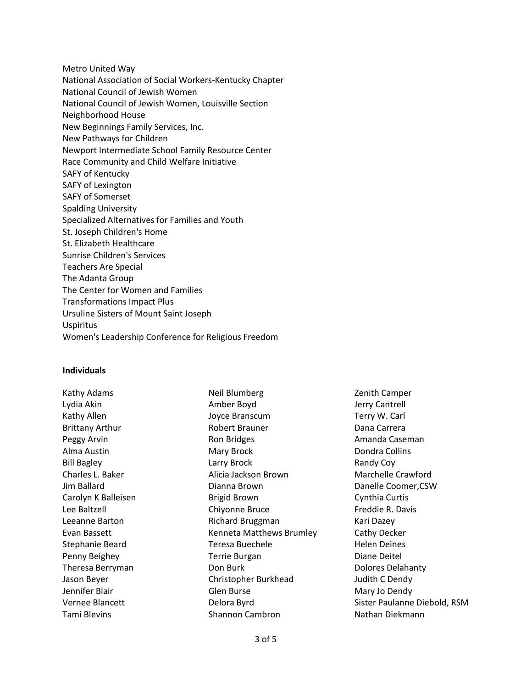Metro United Way National Association of Social Workers-Kentucky Chapter National Council of Jewish Women National Council of Jewish Women, Louisville Section Neighborhood House New Beginnings Family Services, Inc. New Pathways for Children Newport Intermediate School Family Resource Center Race Community and Child Welfare Initiative SAFY of Kentucky SAFY of Lexington SAFY of Somerset Spalding University Specialized Alternatives for Families and Youth St. Joseph Children's Home St. Elizabeth Healthcare Sunrise Children's Services Teachers Are Special The Adanta Group The Center for Women and Families Transformations Impact Plus Ursuline Sisters of Mount Saint Joseph Uspiritus Women's Leadership Conference for Religious Freedom

## **Individuals**

Kathy Adams Lydia Akin Kathy Allen Brittany Arthur Peggy Arvin Alma Austin Bill Bagley Charles L. Baker Jim Ballard Carolyn K Balleisen Lee Baltzell Leeanne Barton Evan Bassett Stephanie Beard Penny Beighey Theresa Berryman Jason Beyer Jennifer Blair Vernee Blancett Tami Blevins

Neil Blumberg Amber Boyd Joyce Branscum Robert Brauner Ron Bridges Mary Brock Larry Brock Alicia Jackson Brown Dianna Brown Brigid Brown Chiyonne Bruce Richard Bruggman Kenneta Matthews Brumley Teresa Buechele Terrie Burgan Don Burk Christopher Burkhead Glen Burse Delora Byrd Shannon Cambron

Zenith Camper Jerry Cantrell Terry W. Carl Dana Carrera Amanda Caseman Dondra Collins Randy Coy Marchelle Crawford Danelle Coomer,CSW Cynthia Curtis Freddie R. Davis Kari Dazey Cathy Decker Helen Deines Diane Deitel Dolores Delahanty Judith C Dendy Mary Jo Dendy Sister Paulanne Diebold, RSM Nathan Diekmann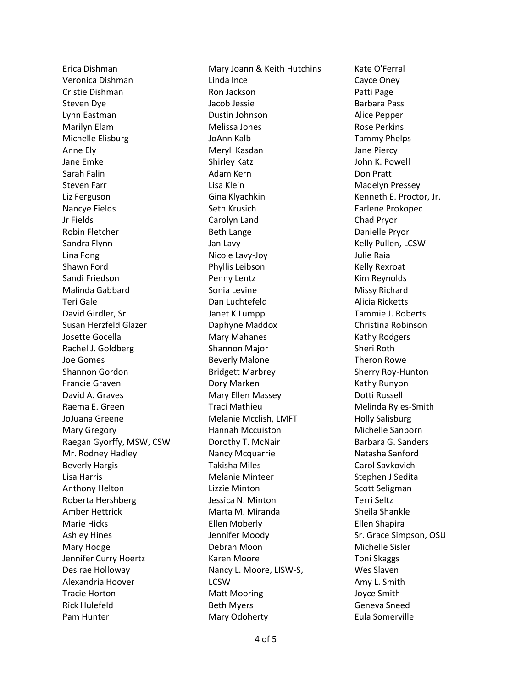Erica Dishman Veronica Dishman Cristie Dishman Steven Dye Lynn Eastman Marilyn Elam Michelle Elisburg Anne Ely Jane Emke Sarah Falin Steven Farr Liz Ferguson Nancye Fields Jr Fields Robin Fletcher Sandra Flynn Lina Fong Shawn Ford Sandi Friedson Malinda Gabbard Teri Gale David Girdler, Sr. Susan Herzfeld Glazer Josette Gocella Rachel J. Goldberg Joe Gomes Shannon Gordon Francie Graven David A. Graves Raema E. Green JoJuana Greene Mary Gregory Raegan Gyorffy, MSW, CSW Mr. Rodney Hadley Beverly Hargis Lisa Harris Anthony Helton Roberta Hershberg Amber Hettrick Marie Hicks Ashley Hines Mary Hodge Jennifer Curry Hoertz Desirae Holloway Alexandria Hoover Tracie Horton Rick Hulefeld Pam Hunter

Mary Joann & Keith Hutchins Linda Ince Ron Jackson Jacob Jessie Dustin Johnson Melissa Jones JoAnn Kalb Meryl Kasdan Shirley Katz Adam Kern Lisa Klein Gina Klyachkin Seth Krusich Carolyn Land Beth Lange Jan Lavy Nicole Lavy-Joy Phyllis Leibson Penny Lentz Sonia Levine Dan Luchtefeld Janet K Lumpp Daphyne Maddox Mary Mahanes Shannon Major Beverly Malone Bridgett Marbrey Dory Marken Mary Ellen Massey Traci Mathieu Melanie Mcclish, LMFT Hannah Mccuiston Dorothy T. McNair Nancy Mcquarrie Takisha Miles Melanie Minteer Lizzie Minton Jessica N. Minton Marta M. Miranda Ellen Moberly Jennifer Moody Debrah Moon Karen Moore Nancy L. Moore, LISW-S, **LCSW** Matt Mooring Beth Myers Mary Odoherty

Kate O'Ferral Cayce Oney Patti Page Barbara Pass Alice Pepper Rose Perkins Tammy Phelps Jane Piercy John K. Powell Don Pratt Madelyn Pressey Kenneth E. Proctor, Jr. Earlene Prokopec Chad Pryor Danielle Pryor Kelly Pullen, LCSW Julie Raia Kelly Rexroat Kim Reynolds Missy Richard Alicia Ricketts Tammie J. Roberts Christina Robinson Kathy Rodgers Sheri Roth Theron Rowe Sherry Roy-Hunton Kathy Runyon Dotti Russell Melinda Ryles-Smith Holly Salisburg Michelle Sanborn Barbara G. Sanders Natasha Sanford Carol Savkovich Stephen J Sedita Scott Seligman Terri Seltz Sheila Shankle Ellen Shapira Sr. Grace Simpson, OSU Michelle Sisler Toni Skaggs Wes Slaven Amy L. Smith Joyce Smith Geneva Sneed Eula Somerville